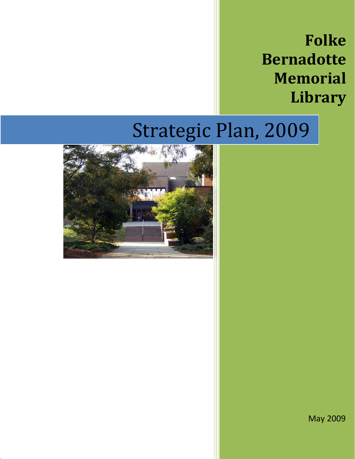**Folke Bernadotte Memorial** Library

# Strategic Plan, 2009

the control of the control of the control of



May 2009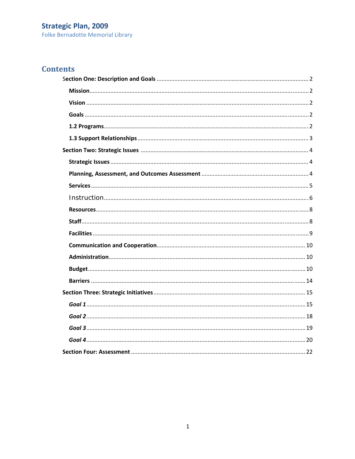Folke Bernadotte Memorial Library

# **Contents**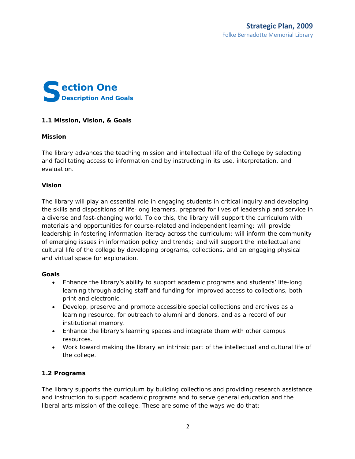<span id="page-2-0"></span>

#### **1.1 Mission, Vision, & Goals**

#### **Mission**

The library advances the teaching mission and intellectual life of the College by selecting and facilitating access to information and by instructing in its use, interpretation, and evaluation.

#### **Vision**

The library will play an essential role in engaging students in critical inquiry and developing the skills and dispositions of life-long learners, prepared for lives of leadership and service in a diverse and fast-changing world. To do this, the library will support the curriculum with materials and opportunities for course-related and independent learning; will provide leadership in fostering information literacy across the curriculum; will inform the community of emerging issues in information policy and trends; and will support the intellectual and cultural life of the college by developing programs, collections, and an engaging physical and virtual space for exploration.

#### **Goals**

- Enhance the library's ability to support academic programs and students' life-long learning through adding staff and funding for improved access to collections, both print and electronic.
- Develop, preserve and promote accessible special collections and archives as a learning resource, for outreach to alumni and donors, and as a record of our institutional memory.
- Enhance the library's learning spaces and integrate them with other campus resources.
- Work toward making the library an intrinsic part of the intellectual and cultural life of the college.

#### **1.2 Programs**

The library supports the curriculum by building collections and providing research assistance and instruction to support academic programs and to serve general education and the liberal arts mission of the college. These are some of the ways we do that: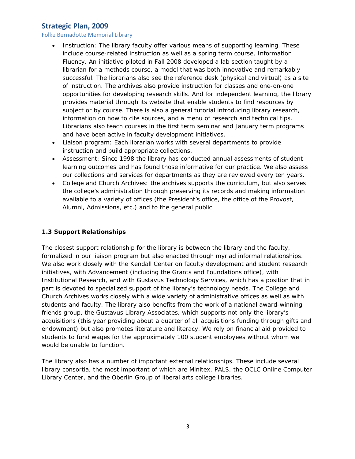#### <span id="page-3-0"></span>Folke Bernadotte Memorial Library

- Instruction: The library faculty offer various means of supporting learning. These include course-related instruction as well as a spring term course, Information Fluency. An initiative piloted in Fall 2008 developed a lab section taught by a librarian for a methods course, a model that was both innovative and remarkably successful. The librarians also see the reference desk (physical and virtual) as a site of instruction. The archives also provide instruction for classes and one-on-one opportunities for developing research skills. And for independent learning, the library provides material through its website that enable students to find resources by subject or by course. There is also a general tutorial introducing library research, information on how to cite sources, and a menu of research and technical tips. Librarians also teach courses in the first term seminar and January term programs and have been active in faculty development initiatives.
- Liaison program: Each librarian works with several departments to provide instruction and build appropriate collections.
- Assessment: Since 1998 the library has conducted annual assessments of student learning outcomes and has found those informative for our practice. We also assess our collections and services for departments as they are reviewed every ten years.
- College and Church Archives: the archives supports the curriculum, but also serves the college's administration through preserving its records and making information available to a variety of offices (the President's office, the office of the Provost, Alumni, Admissions, etc.) and to the general public.

#### **1.3 Support Relationships**

The closest support relationship for the library is between the library and the faculty, formalized in our liaison program but also enacted through myriad informal relationships. We also work closely with the Kendall Center on faculty development and student research initiatives, with Advancement (including the Grants and Foundations office), with Institutional Research, and with Gustavus Technology Services, which has a position that in part is devoted to specialized support of the library's technology needs. The College and Church Archives works closely with a wide variety of administrative offices as well as with students and faculty. The library also benefits from the work of a national award-winning friends group, the Gustavus Library Associates, which supports not only the library's acquisitions (this year providing about a quarter of all acquisitions funding through gifts and endowment) but also promotes literature and literacy. We rely on financial aid provided to students to fund wages for the approximately 100 student employees without whom we would be unable to function.

The library also has a number of important external relationships. These include several library consortia, the most important of which are Minitex, PALS, the OCLC Online Computer Library Center, and the Oberlin Group of liberal arts college libraries.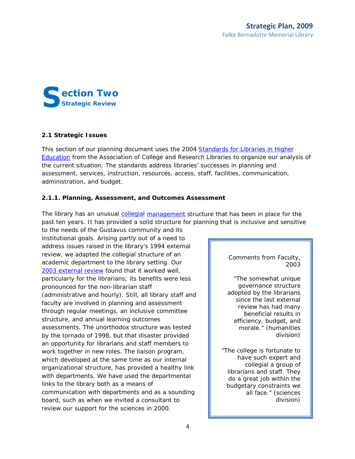<span id="page-4-0"></span>

#### **2.1 Strategic Issues**

This section of our planning document uses the 2004 Standards for Libraries in Higher [Education](http://www.ala.org/ala/mgrps/divs/acrl/standards/standardslibraries.cfm) from the Association of College and Research Libraries to organize our analysis of the current situation. The standards address libraries' successes in planning and assessment, services, instruction, resources, access, staff, facilities, communication, administration, and budget.

#### **2.1.1. Planning, Assessment, and Outcomes Assessment**

The library has an unusual [collegial](http://www.ala.org/ala/mgrps/divs/acrl/standards/standardslibraries.cfm) [management](http://homepages.gac.edu/%7Efister/ACRL2005paper.pdf) structure that has been in place for the past ten years. It has provided a solid structure for planning that is inclusive and sensitive

to the needs of the Gustavus community and its institutional goals. Arising partly out of a need to address issues raised in the library's 1994 external review, we adapted the collegial structure of an academic department to the library setting. Our [2003 external review](http://gustavus.edu/academics/library/Pubs/self-study.html) found that it worked well, particularly for the librarians; its benefits were less pronounced for the non-librarian staff (administrative and hourly). Still, all library staff and faculty are involved in planning and assessment through regular meetings, an inclusive committee structure, and annual learning outcomes assessments. The unorthodox structure was tested by the tornado of 1998, but that disaster provided an opportunity for librarians and staff members to work together in new roles. The liaison program, which developed at the same time as our internal organizational structure, has provided a healthy link with departments. We have used the departmental links to the library both as a means of communication with departments and as a sounding board, such as when we invited a consultant to review our support for the sciences in 2000.

#### *Comments from Faculty, 2003*

*"The somewhat unique governance structure adopted by the librarians since the last external review has had many beneficial results in efficiency, budget, and morale." (humanities division)* 

*"The college is fortunate to have such expert and collegial a group of librarians and staff. They do a great job within the budgetary constraints we all face." (sciences division)*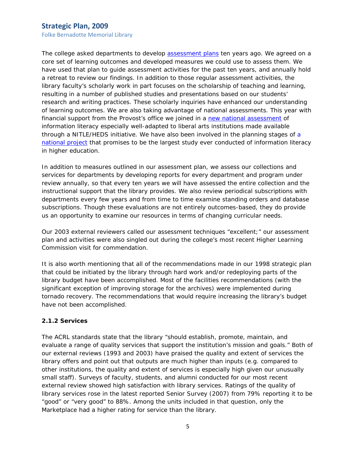<span id="page-5-0"></span>Folke Bernadotte Memorial Library

The college asked departments to develop [assessment plans](http://gustavus.edu/academics/library/Pubs/AssessmentPlan.html) ten years ago. We agreed on a core set of learning outcomes and developed measures we could use to assess them. We have used that plan to guide assessment activities for the past ten years, and annually hold a retreat to review our findings. In addition to those regular assessment activities, the library faculty's scholarly work in part focuses on the scholarship of teaching and learning, resulting in a number of published studies and presentations based on our students' research and writing practices. These scholarly inquiries have enhanced our understanding of learning outcomes. We are also taking advantage of national assessments. This year with financial support from the Provost's office we joined in a [new national assessment](http://www.nitle.org/www/site/community_projects/improving_student_info_literacy) of information literacy especially well-adapted to liberal arts institutions made available through a NITLE/HEDS initiative. We have also been involved in the planning stages of a [national project](http://projectinfolit.org/) that promises to be the largest study ever conducted of information literacy in higher education.

In addition to measures outlined in our assessment plan, we assess our collections and services for departments by developing reports for every department and program under review annually, so that every ten years we will have assessed the entire collection and the instructional support that the library provides. We also review periodical subscriptions with departments every few years and from time to time examine standing orders and database subscriptions. Though these evaluations are not entirely outcomes-based, they do provide us an opportunity to examine our resources in terms of changing curricular needs.

Our 2003 external reviewers called our assessment techniques "excellent;" our assessment plan and activities were also singled out during the college's most recent Higher Learning Commission visit for commendation.

It is also worth mentioning that all of the recommendations made in our 1998 strategic plan that could be initiated by the library through hard work and/or redeploying parts of the library budget have been accomplished. Most of the facilities recommendations (with the significant exception of improving storage for the archives) were implemented during tornado recovery. The recommendations that would require increasing the library's budget have not been accomplished.

#### **2.1.2 Services**

The ACRL standards state that the library "should establish, promote, maintain, and evaluate a range of quality services that support the institution's mission and goals." Both of our external reviews (1993 and 2003) have praised the quality and extent of services the library offers and point out that outputs are much higher than inputs (e.g. compared to other institutions, the quality and extent of services is especially high given our unusually small staff). Surveys of faculty, students, and alumni conducted for our most recent external review showed high satisfaction with library services. Ratings of the quality of library services rose in the latest reported Senior Survey (2007) from 79% reporting it to be "good" or "very good" to 88%. Among the units included in that question, only the Marketplace had a higher rating for service than the library.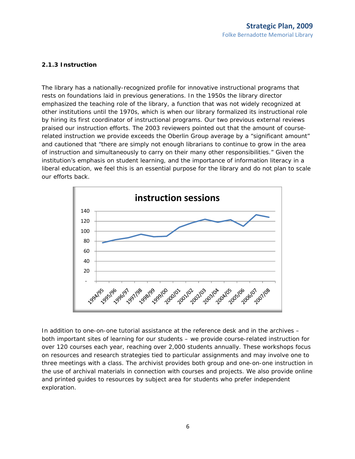#### <span id="page-6-0"></span>**2.1.3 Instruction**

The library has a nationally-recognized profile for innovative instructional programs that rests on foundations laid in previous generations. In the 1950s the library director emphasized the teaching role of the library, a function that was not widely recognized at other institutions until the 1970s, which is when our library formalized its instructional role by hiring its first coordinator of instructional programs. Our two previous external reviews praised our instruction efforts. The 2003 reviewers pointed out that the amount of courserelated instruction we provide exceeds the Oberlin Group average by a "significant amount" and cautioned that "there are simply not enough librarians to continue to grow in the area of instruction and simultaneously to carry on their many other responsibilities." Given the institution's emphasis on student learning, and the importance of information literacy in a liberal education, we feel this is an essential purpose for the library and do not plan to scale our efforts back.



In addition to one-on-one tutorial assistance at the reference desk and in the archives – both important sites of learning for our students – we provide course-related instruction for over 120 courses each year, reaching over 2,000 students annually. These workshops focus on resources and research strategies tied to particular assignments and may involve one to three meetings with a class. The archivist provides both group and one-on-one instruction in the use of archival materials in connection with courses and projects. We also provide online and printed guides to resources by subject area for students who prefer independent exploration.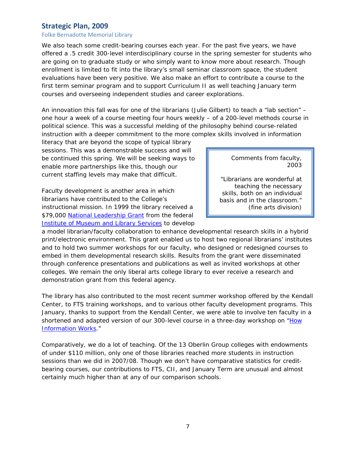#### Folke Bernadotte Memorial Library

We also teach some credit-bearing courses each year. For the past five years, we have offered a .5 credit 300-level interdisciplinary course in the spring semester for students who are going on to graduate study or who simply want to know more about research. Though enrollment is limited to fit into the library's small seminar classroom space, the student evaluations have been very positive. We also make an effort to contribute a course to the first term seminar program and to support Curriculum II as well teaching January term courses and overseeing independent studies and career explorations.

An innovation this fall was for one of the librarians (Julie Gilbert) to teach a "lab section" – one hour a week of a course meeting four hours weekly – of a 200-level methods course in political science. This was a successful melding of the philosophy behind course-related instruction with a deeper commitment to the more complex skills involved in information

literacy that are beyond the scope of typical library sessions. This was a demonstrable success and will be continued this spring. We will be seeking ways to enable more partnerships like this, though our current staffing levels may make that difficult.

Faculty development is another area in which librarians have contributed to the College's instructional mission. In 1999 the library received a \$79,000 [National Leadership Grant](http://gustavus.edu/academics/library/IMLS/) from the federal [Institute of Museum and Library Services](http://www.imls.gov/) to develop *Comments from faculty, 2003* 

 *"Librarians are wonderful at teaching the necessary skills, both on an individual basis and in the classroom." (fine arts division)* 

a model librarian/faculty collaboration to enhance developmental research skills in a hybrid print/electronic environment. This grant enabled us to host two regional librarians' institutes and to hold two summer workshops for our faculty, who designed or redesigned courses to embed in them developmental research skills. Results from the grant were disseminated through conference presentations and publications as well as invited workshops at other colleges. We remain the only liberal arts college library to ever receive a research and demonstration grant from this federal agency.

The library has also contributed to the most recent summer workshop offered by the Kendall Center, to FTS training workshops, and to various other faculty development programs. This January, thanks to support from the Kendall Center, we were able to involve ten faculty in a shortened and adapted version of our 300-level course in a three-day workshop on "How [Information Works](http://howinformationworks.wordpress.com/)."

Comparatively, we do a lot of teaching. Of the 13 Oberlin Group colleges with endowments of under \$110 million, only one of those libraries reached more students in instruction sessions than we did in 2007/08. Though we don't have comparative statistics for creditbearing courses, our contributions to FTS, CII, and January Term are unusual and almost certainly much higher than at any of our comparison schools.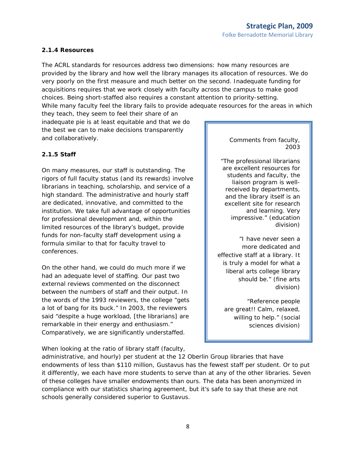#### <span id="page-8-0"></span>**2.1.4 Resources**

The ACRL standards for resources address two dimensions: how many resources are provided by the library and how well the library manages its allocation of resources. We do very poorly on the first measure and much better on the second. Inadequate funding for acquisitions requires that we work closely with faculty across the campus to make good choices. Being short-staffed also requires a constant attention to priority-setting.

While many faculty feel the library fails to provide adequate resources for the areas in which they teach, they seem to feel their share of an

inadequate pie is at least equitable and that we do the best we can to make decisions transparently and collaboratively. **Comments from faculty**,

#### **2.1.5 Staff**

On many measures, our staff is outstanding. The rigors of full faculty status (and its rewards) involve librarians in teaching, scholarship, and service of a high standard. The administrative and hourly staff are dedicated, innovative, and committed to the institution. We take full advantage of opportunities for professional development and, within the limited resources of the library's budget, provide funds for non-faculty staff development using a formula similar to that for faculty travel to conferences.

On the other hand, we could do much more if we had an adequate level of staffing. Our past two external reviews commented on the disconnect between the numbers of staff and their output. In the words of the 1993 reviewers, the college "gets a lot of bang for its buck." In 2003, the reviewers said "despite a huge workload, [the librarians] are remarkable in their energy and enthusiasm." Comparatively, we are significantly understaffed.

*2003* 

*"The professional librarians are excellent resources for students and faculty, the liaison program is wellreceived by departments, and the library itself is an excellent site for research and learning. Very impressive." (education division)* 

*"I have never seen a more dedicated and effective staff at a library. It is truly a model for what a liberal arts college library should be." (fine arts division)* 

*"Reference people are great!! Calm, relaxed, willing to help." (social sciences division)*

When looking at the ratio of library staff (faculty,

administrative, and hourly) per student at the 12 Oberlin Group libraries that have endowments of less than \$110 million, Gustavus has the fewest staff per student. Or to put it differently, we each have more students to serve than at any of the other libraries. Seven of these colleges have smaller endowments than ours. The data has been anonymized in compliance with our statistics sharing agreement, but it's safe to say that these are not schools generally considered superior to Gustavus.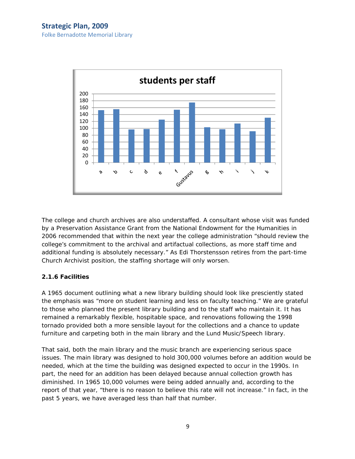<span id="page-9-0"></span>

The college and church archives are also understaffed. A consultant whose visit was funded by a Preservation Assistance Grant from the National Endowment for the Humanities in 2006 recommended that within the next year the college administration "should review the college's commitment to the archival and artifactual collections, as more staff time and additional funding is absolutely necessary." As Edi Thorstensson retires from the part-time Church Archivist position, the staffing shortage will only worsen.

#### **2.1.6 Facilities**

A 1965 document outlining what a new library building should look like presciently stated the emphasis was "more on *student* learning and less on *faculty* teaching." We are grateful to those who planned the present library building and to the staff who maintain it. It has remained a remarkably flexible, hospitable space, and renovations following the 1998 tornado provided both a more sensible layout for the collections and a chance to update furniture and carpeting both in the main library and the Lund Music/Speech library.

That said, both the main library and the music branch are experiencing serious space issues. The main library was designed to hold 300,000 volumes before an addition would be needed, which at the time the building was designed expected to occur in the 1990s. In part, the need for an addition has been delayed because annual collection growth has diminished. In 1965 10,000 volumes were being added annually and, according to the report of that year, "there is no reason to believe this rate will not increase." In fact, in the past 5 years, we have averaged less than half that number.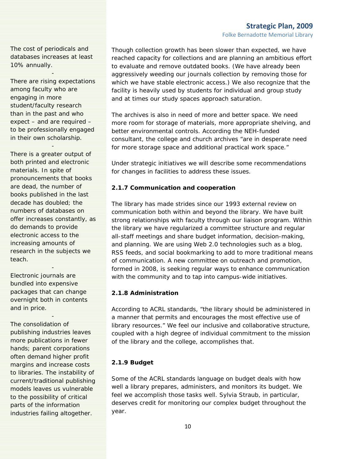<span id="page-10-0"></span>The cost of periodicals and databases increases at least 10% annually.

-

There are rising expectations among faculty who are engaging in more student/faculty research than in the past and who expect – and are required – to be professionally engaged in their own scholarship.

-

There is a greater output of both printed and electronic materials. In spite of pronouncements that books are dead, the number of books published in the last decade has doubled; the numbers of databases on offer increases constantly, as do demands to provide electronic access to the increasing amounts of research in the subjects we teach.

Electronic journals are bundled into expensive packages that can change overnight both in contents and in price.

-

-

The consolidation of publishing industries leaves more publications in fewer hands; parent corporations often demand higher profit margins and increase costs to libraries. The instability of current/traditional publishing models leaves us vulnerable to the possibility of critical parts of the information industries failing altogether.

Though collection growth has been slower than expected, we have reached capacity for collections and are planning an ambitious effort to evaluate and remove outdated books. (We have already been aggressively weeding our journals collection by removing those for which we have stable electronic access.) We also recognize that the facility is heavily used by students for individual and group study and at times our study spaces approach saturation.

The archives is also in need of more and better space. We need more room for storage of materials, more appropriate shelving, and better environmental controls. According the NEH-funded consultant, the college and church archives "are in desperate need for more storage space and additional practical work space."

Under strategic initiatives we will describe some recommendations for changes in facilities to address these issues.

#### **2.1.7 Communication and cooperation**

The library has made strides since our 1993 external review on communication both within and beyond the library. We have built strong relationships with faculty through our liaison program. Within the library we have regularized a committee structure and regular all-staff meetings and share budget information, decision-making, and planning. We are using Web 2.0 technologies such as a blog, RSS feeds, and social bookmarking to add to more traditional means of communication. A new committee on outreach and promotion, formed in 2008, is seeking regular ways to enhance communication with the community and to tap into campus-wide initiatives.

#### **2.1.8 Administration**

According to ACRL standards, "the library should be administered in a manner that permits and encourages the most effective use of library resources." We feel our inclusive and collaborative structure, coupled with a high degree of individual commitment to the mission of the library and the college, accomplishes that.

#### **2.1.9 Budget**

Some of the ACRL standards language on budget deals with how well a library prepares, administers, and monitors its budget. We feel we accomplish those tasks well. Sylvia Straub, in particular, deserves credit for monitoring our complex budget throughout the year.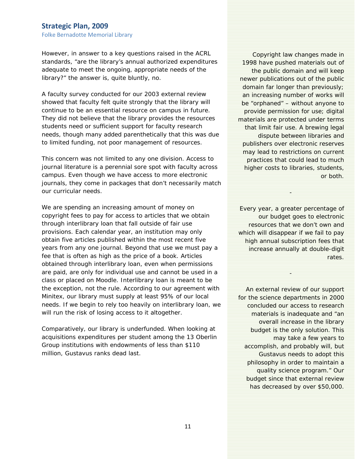Folke Bernadotte Memorial Library

However, in answer to a key questions raised in the ACRL standards, "are the library's annual authorized expenditures adequate to meet the ongoing, appropriate needs of the library?" the answer is, quite bluntly, no.

A faculty survey conducted for our 2003 external review showed that faculty felt quite strongly that the library will continue to be an essential resource on campus in future. They did not believe that the library provides the resources students need or sufficient support for faculty research needs, though many added parenthetically that this was due to limited funding, not poor management of resources.

This concern was not limited to any one division. Access to journal literature is a perennial sore spot with faculty across campus. Even though we have access to more electronic journals, they come in packages that don't necessarily match our curricular needs.

We are spending an increasing amount of money on copyright fees to pay for access to articles that we obtain through interlibrary loan that fall outside of fair use provisions. Each calendar year, an institution may only obtain five articles published within the most recent five years from any one journal. Beyond that use we must pay a fee that is often as high as the price of a book. Articles obtained through interlibrary loan, even when permissions are paid, are only for individual use and cannot be used in a class or placed on Moodle. Interlibrary loan is meant to be the exception, not the rule. According to our agreement with Minitex, our library must supply at least 95% of our local needs. If we begin to rely too heavily on interlibrary loan, we will run the risk of losing access to it altogether.

Comparatively, our library is underfunded. When looking at acquisitions expenditures per student among the 13 Oberlin Group institutions with endowments of less than \$110 million, Gustavus ranks dead last.

Copyright law changes made in 1998 have pushed materials out of the public domain and will keep newer publications out of the public domain far longer than previously; an increasing number of works will be "orphaned" – without anyone to provide permission for use; digital materials are protected under terms that limit fair use. A brewing legal dispute between libraries and publishers over electronic reserves may lead to restrictions on current practices that could lead to much higher costs to libraries, students, or both.

Every year, a greater percentage of our budget goes to electronic resources that we don't own and which will disappear if we fail to pay high annual subscription fees that increase annually at double-digit rates.

-

-

An external review of our support for the science departments in 2000 concluded our access to research materials is inadequate and "an overall increase in the library budget is the only solution. This may take a few years to accomplish, and probably will, but Gustavus needs to adopt this philosophy in order to maintain a quality science program." Our budget since that external review has decreased by over \$50,000.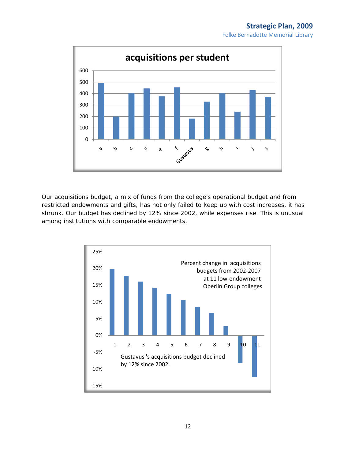

Our acquisitions budget, a mix of funds from the college's operational budget and from restricted endowments and gifts, has not only failed to keep up with cost increases, it has shrunk. Our budget has declined by 12% since 2002, while expenses rise. This is unusual among institutions with comparable endowments.

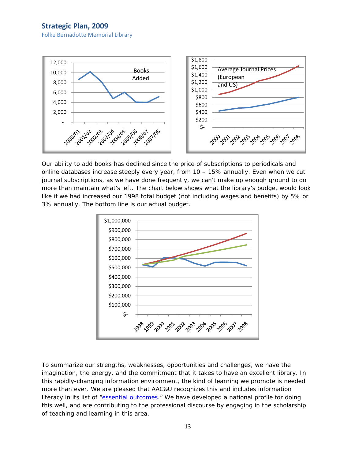Folke Bernadotte Memorial Library



Our ability to add books has declined since the price of subscriptions to periodicals and online databases increase steeply every year, from 10 – 15% annually. Even when we cut journal subscriptions, as we have done frequently, we can't make up enough ground to do more than maintain what's left. The chart below shows what the library's budget would look like if we had increased our 1998 total budget (not including wages and benefits) by 5% or 3% annually. The bottom line is our actual budget.



To summarize our strengths, weaknesses, opportunities and challenges, we have the imagination, the energy, and the commitment that it takes to have an excellent library. In this rapidly-changing information environment, the kind of learning we promote is needed more than ever. We are pleased that AAC&U recognizes this and includes information literacy in its list of ["essential outcomes](http://www.aacu.org/leap/vision.cfm)." We have developed a national profile for doing this well, and are contributing to the professional discourse by engaging in the scholarship of teaching and learning in this area.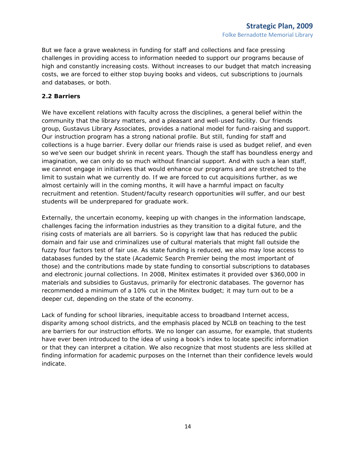<span id="page-14-0"></span>But we face a grave weakness in funding for staff and collections and face pressing challenges in providing access to information needed to support our programs because of high and constantly increasing costs. Without increases to our budget that match increasing costs, we are forced to either stop buying books and videos, cut subscriptions to journals and databases, or both.

#### **2.2 Barriers**

We have excellent relations with faculty across the disciplines, a general belief within the community that the library matters, and a pleasant and well-used facility. Our friends group, Gustavus Library Associates, provides a national model for fund-raising and support. Our instruction program has a strong national profile. But still, funding for staff and collections is a huge barrier. Every dollar our friends raise is used as budget relief, and even so we've seen our budget shrink in recent years. Though the staff has boundless energy and imagination, we can only do so much without financial support. And with such a lean staff, we cannot engage in initiatives that would enhance our programs and are stretched to the limit to sustain what we currently do. If we are forced to cut acquisitions further, as we almost certainly will in the coming months, it will have a harmful impact on faculty recruitment and retention. Student/faculty research opportunities will suffer, and our best students will be underprepared for graduate work.

Externally, the uncertain economy, keeping up with changes in the information landscape, challenges facing the information industries as they transition to a digital future, and the rising costs of materials are all barriers. So is copyright law that has reduced the public domain and fair use and criminalizes use of cultural materials that might fall outside the fuzzy four factors test of fair use. As state funding is reduced, we also may lose access to databases funded by the state (Academic Search Premier being the most important of those) and the contributions made by state funding to consortial subscriptions to databases and electronic journal collections. In 2008, Minitex estimates it provided over \$360,000 in materials and subsidies to Gustavus, primarily for electronic databases. The governor has recommended a minimum of a 10% cut in the Minitex budget; it may turn out to be a deeper cut, depending on the state of the economy.

Lack of funding for school libraries, inequitable access to broadband Internet access, disparity among school districts, and the emphasis placed by NCLB on teaching to the test are barriers for our instruction efforts. We no longer can assume, for example, that students have ever been introduced to the idea of using a book's index to locate specific information or that they can interpret a citation. We also recognize that most students are less skilled at finding information for academic purposes on the Internet than their confidence levels would indicate.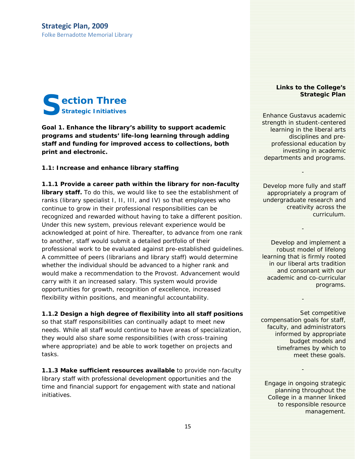<span id="page-15-0"></span>

*Goal 1. Enhance the library's ability to support academic programs and students' life-long learning through adding staff and funding for improved access to collections, both print and electronic.* 

**1.1: Increase and enhance library staffing** 

**1.1.1 Provide a career path within the library for non-faculty library staff.** To do this, we would like to see the establishment of ranks (library specialist I, II, III, and IV) so that employees who continue to grow in their professional responsibilities can be recognized and rewarded without having to take a different position. Under this new system, previous relevant experience would be acknowledged at point of hire. Thereafter, to advance from one rank to another, staff would submit a detailed portfolio of their professional work to be evaluated against pre-established guidelines. A committee of peers (librarians and library staff) would determine whether the individual should be advanced to a higher rank and would make a recommendation to the Provost. Advancement would carry with it an increased salary. This system would provide opportunities for growth, recognition of excellence, increased flexibility within positions, and meaningful accountability.

**1.1.2 Design a high degree of flexibility into all staff positions**  so that staff responsibilities can continually adapt to meet new needs. While all staff would continue to have areas of specialization, they would also share some responsibilities (with cross-training where appropriate) and be able to work together on projects and tasks.

**1.1.3 Make sufficient resources available** to provide non-faculty library staff with professional development opportunities and the time and financial support for engagement with state and national initiatives.

#### *Links to the College's Strategic Plan*

Enhance Gustavus academic strength in student-centered learning in the liberal arts disciplines and preprofessional education by investing in academic departments and programs.

Develop more fully and staff appropriately a program of undergraduate research and creativity across the curriculum.

-

-

Develop and implement a robust model of lifelong learning that is firmly rooted in our liberal arts tradition and consonant with our academic and co-curricular programs.

-

Set competitive compensation goals for staff, faculty, and administrators informed by appropriate budget models and timeframes by which to meet these goals.

Engage in ongoing strategic planning throughout the College in a manner linked to responsible resource management.

-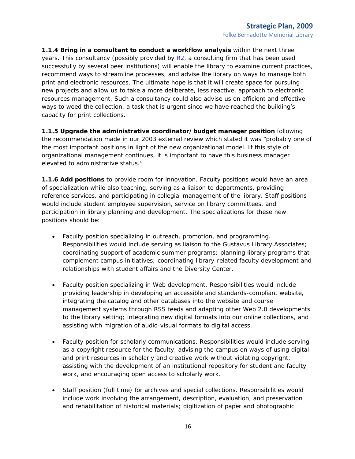**1.1.4 Bring in a consultant to conduct a workflow analysis** within the next three years. This consultancy (possibly provided by  $R2$ , a consulting firm that has been used successfully by several peer institutions) will enable the library to examine current practices, recommend ways to streamline processes, and advise the library on ways to manage both print and electronic resources. The ultimate hope is that it will create space for pursuing new projects and allow us to take a more deliberate, less reactive, approach to electronic resources management. Such a consultancy could also advise us on efficient and effective ways to weed the collection, a task that is urgent since we have reached the building's capacity for print collections.

**1.1.5 Upgrade the administrative coordinator/budget manager position** following the recommendation made in our 2003 external review which stated it was "probably one of the most important positions in light of the new organizational model. If this style of organizational management continues, it is important to have this business manager elevated to administrative status."

**1.1.6 Add positions** to provide room for innovation. Faculty positions would have an area of specialization while also teaching, serving as a liaison to departments, providing reference services, and participating in collegial management of the library. Staff positions would include student employee supervision, service on library committees, and participation in library planning and development. The specializations for these new positions should be:

- Faculty position specializing in outreach, promotion, and programming. Responsibilities would include serving as liaison to the Gustavus Library Associates; coordinating support of academic summer programs; planning library programs that complement campus initiatives; coordinating library-related faculty development and relationships with student affairs and the Diversity Center.
- Faculty position specializing in Web development. Responsibilities would include providing leadership in developing an accessible and standards-compliant website, integrating the catalog and other databases into the website and course management systems through RSS feeds and adapting other Web 2.0 developments to the library setting; integrating new digital formats into our online collections, and assisting with migration of audio-visual formats to digital access.
- Faculty position for scholarly communications. Responsibilities would include serving as a copyright resource for the faculty, advising the campus on ways of using digital and print resources in scholarly and creative work without violating copyright, assisting with the development of an institutional repository for student and faculty work, and encouraging open access to scholarly work.
- Staff position (full time) for archives and special collections. Responsibilities would include work involving the arrangement, description, evaluation, and preservation and rehabilitation of historical materials; digitization of paper and photographic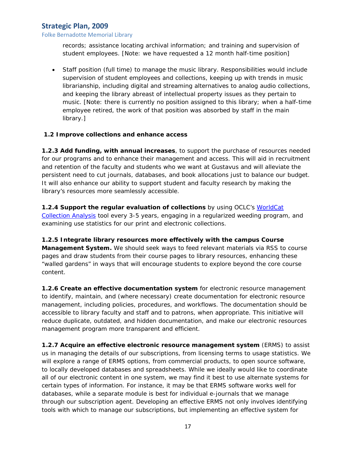#### Folke Bernadotte Memorial Library

records; assistance locating archival information; and training and supervision of student employees. [Note: we have requested a 12 month half-time position]

• Staff position (full time) to manage the music library. Responsibilities would include supervision of student employees and collections, keeping up with trends in music librarianship, including digital and streaming alternatives to analog audio collections, and keeping the library abreast of intellectual property issues as they pertain to music. [Note: there is currently no position assigned to this library; when a half-time employee retired, the work of that position was absorbed by staff in the main library.]

#### **1.2 Improve collections and enhance access**

**1.2.3 Add funding, with annual increases**, to support the purchase of resources needed for our programs and to enhance their management and access. This will aid in recruitment and retention of the faculty and students who we want at Gustavus and will alleviate the persistent need to cut journals, databases, and book allocations just to balance our budget. It will also enhance our ability to support student and faculty research by making the library's resources more seamlessly accessible.

**1.2.4 Support the regular evaluation of collections** by using OCLC's [WorldCat](http://www.oclc.org/us/en/collectionanalysis/default.htm)  [Collection Analysis](http://www.oclc.org/us/en/collectionanalysis/default.htm) tool every 3-5 years, engaging in a regularized weeding program, and examining use statistics for our print and electronic collections.

**1.2.5 Integrate library resources more effectively with the campus Course Management System.** We should seek ways to feed relevant materials via RSS to course pages and draw students from their course pages to library resources, enhancing these "walled gardens" in ways that will encourage students to explore beyond the core course content.

**1.2.6 Create an effective documentation system** for electronic resource management to identify, maintain, and (where necessary) create documentation for electronic resource management, including policies, procedures, and workflows. The documentation should be accessible to library faculty and staff and to patrons, when appropriate. This initiative will reduce duplicate, outdated, and hidden documentation, and make our electronic resources management program more transparent and efficient.

**1.2.7 Acquire an effective electronic resource management system** (ERMS) to assist us in managing the details of our subscriptions, from licensing terms to usage statistics. We will explore a range of ERMS options, from commercial products, to open source software, to locally developed databases and spreadsheets. While we ideally would like to coordinate all of our electronic content in one system, we may find it best to use alternate systems for certain types of information. For instance, it may be that ERMS software works well for databases, while a separate module is best for individual e-journals that we manage through our subscription agent. Developing an effective ERMS not only involves identifying tools with which to manage our subscriptions, but implementing an effective system for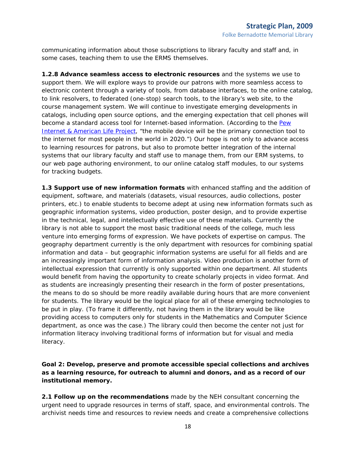<span id="page-18-0"></span>communicating information about those subscriptions to library faculty and staff and, in some cases, teaching them to use the ERMS themselves.

**1.2.8 Advance seamless access to electronic resources** and the systems we use to support them. We will explore ways to provide our patrons with more seamless access to electronic content through a variety of tools, from database interfaces, to the online catalog, to link resolvers, to federated (one-stop) search tools, to the library's web site, to the course management system. We will continue to investigate emerging developments in catalogs, including open source options, and the emerging expectation that cell phones will become a standard access tool for Internet-based information. (According to the [Pew](http://www.pewinternet.org/PPF/r/270/report_display.asp)  [Internet & American Life Project](http://www.pewinternet.org/PPF/r/270/report_display.asp), "the mobile device will be the primary connection tool to the internet for most people in the world in 2020.") Our hope is not only to advance access to learning resources for patrons, but also to promote better integration of the internal systems that our library faculty and staff use to manage them, from our ERM systems, to our web page authoring environment, to our online catalog staff modules, to our systems for tracking budgets.

**1.3 Support use of new information formats** with enhanced staffing and the addition of equipment, software, and materials (datasets, visual resources, audio collections, poster printers, etc.) to enable students to become adept at using new information formats such as geographic information systems, video production, poster design, and to provide expertise in the technical, legal, and intellectually effective use of these materials. Currently the library is not able to support the most basic traditional needs of the college, much less venture into emerging forms of expression. We have pockets of expertise on campus. The geography department currently is the only department with resources for combining spatial information and data – but geographic information systems are useful for all fields and are an increasingly important form of information analysis. Video production is another form of intellectual expression that currently is only supported within one department. All students would benefit from having the opportunity to create scholarly projects in video format. And as students are increasingly presenting their research in the form of poster presentations, the means to do so should be more readily available during hours that are more convenient for students. The library would be the logical place for all of these emerging technologies to be put in play. (To frame it differently, not having them in the library would be like providing access to computers only for students in the Mathematics and Computer Science department, as once was the case.) The library could then become the center not just for information literacy involving traditional forms of information but for visual and media literacy.

#### *Goal 2: Develop, preserve and promote accessible special collections and archives as a learning resource, for outreach to alumni and donors, and as a record of our institutional memory.*

**2.1 Follow up on the recommendations** made by the NEH consultant concerning the urgent need to upgrade resources in terms of staff, space, and environmental controls. The archivist needs time and resources to review needs and create a comprehensive collections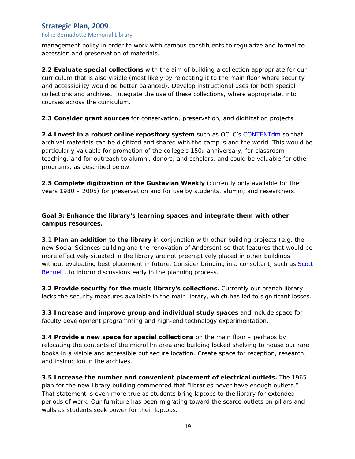#### <span id="page-19-0"></span>Folke Bernadotte Memorial Library

management policy in order to work with campus constituents to regularize and formalize accession and preservation of materials.

**2.2 Evaluate special collections** with the aim of building a collection appropriate for our curriculum that is also visible (most likely by relocating it to the main floor where security and accessibility would be better balanced). Develop instructional uses for both special collections and archives. Integrate the use of these collections, where appropriate, into courses across the curriculum.

**2.3 Consider grant sources** for conservation, preservation, and digitization projects.

**2.4 Invest in a robust online repository system** such as OCLC's [CONTENTdm](http://www.oclc.org/us/en/contentdm/default.htm) so that archival materials can be digitized and shared with the campus and the world. This would be particularly valuable for promotion of the college's 150th anniversary, for classroom teaching, and for outreach to alumni, donors, and scholars, and could be valuable for other programs, as described below.

**2.5 Complete digitization of the** *Gustavian Weekly* (currently only available for the years 1980 – 2005) for preservation and for use by students, alumni, and researchers.

#### *Goal 3: Enhance the library's learning spaces and integrate them with other campus resources.*

**3.1 Plan an addition to the library** in conjunction with other building projects (e.g. the new Social Sciences building and the renovation of Anderson) so that features that would be more effectively situated in the library are not preemptively placed in other buildings without evaluating best placement in future. Consider bringing in a consultant, such as Scott [Bennett](http://www.libraryspaceplanning.com/assets/resource/libraries-designed-for-learning.pdf), to inform discussions early in the planning process.

**3.2 Provide security for the music library's collections.** Currently our branch library lacks the security measures available in the main library, which has led to significant losses.

**3.3 Increase and improve group and individual study spaces** and include space for faculty development programming and high-end technology experimentation.

**3.4 Provide a new space for special collections** on the main floor – perhaps by relocating the contents of the microfilm area and building locked shelving to house our rare books in a visible and accessible but secure location. Create space for reception, research, and instruction in the archives.

**3.5 Increase the number and convenient placement of electrical outlets.** The 1965 plan for the new library building commented that "libraries never have enough outlets." That statement is even more true as students bring laptops to the library for extended periods of work. Our furniture has been migrating toward the scarce outlets on pillars and walls as students seek power for their laptops.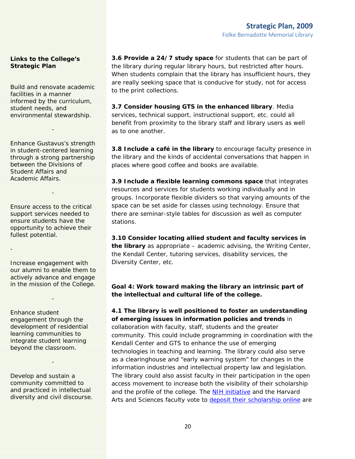#### <span id="page-20-0"></span>*Links to the College's Strategic Plan*

Build and renovate academic facilities in a manner informed by the curriculum, student needs, and environmental stewardship.

-

Enhance Gustavus's strength in student-centered learning through a strong partnership between the Divisions of Student Affairs and Academic Affairs.

-

Ensure access to the critical support services needed to ensure students have the opportunity to achieve their fullest potential.

-

Increase engagement with our alumni to enable them to actively advance and engage in the mission of the College.

-

Enhance student engagement through the development of residential learning communities to integrate student learning beyond the classroom.

Develop and sustain a community committed to and practiced in intellectual diversity and civil discourse.

-

**3.6 Provide a 24/7 study space** for students that can be part of the library during regular library hours, but restricted after hours. When students complain that the library has insufficient hours, they are really seeking space that is conducive for study, not for access to the print collections.

**3.7 Consider housing GTS in the enhanced library**. Media services, technical support, instructional support, etc. could all benefit from proximity to the library staff and library users as well as to one another.

**3.8 Include a café in the library** to encourage faculty presence in the library and the kinds of accidental conversations that happen in places where good coffee and books are available.

**3.9 Include a flexible learning commons space** that integrates resources and services for students working individually and in groups. Incorporate flexible dividers so that varying amounts of the space can be set aside for classes using technology. Ensure that there are seminar-style tables for discussion as well as computer stations.

**3.10 Consider locating allied student and faculty services in the library** as appropriate – academic advising, the Writing Center, the Kendall Center, tutoring services, disability services, the Diversity Center, etc.

*Goal 4: Work toward making the library an intrinsic part of the intellectual and cultural life of the college.* 

**4.1 The library is well positioned to foster an understanding of emerging issues in information policies and trends** in collaboration with faculty, staff, students and the greater community. This could include programming in coordination with the Kendall Center and GTS to enhance the use of emerging technologies in teaching and learning. The library could also serve as a clearinghouse and "early warning system" for changes in the information industries and intellectual property law and legislation. The library could also assist faculty in their participation in the open access movement to increase both the visibility of their scholarship and the profile of the college. The **NIH initiative** and the Harvard Arts and Sciences faculty vote to [deposit their scholarship online](http://www.insidehighered.com/news/2008/02/13/openaccess) are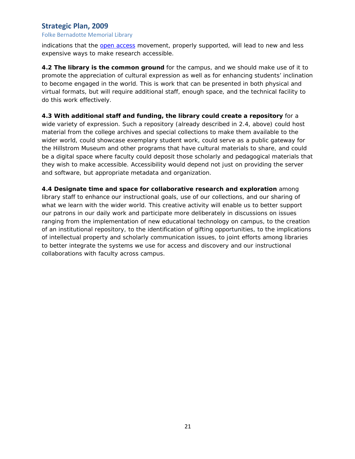#### Folke Bernadotte Memorial Library

indications that the [open access](http://www.earlham.edu/%7Epeters/fos/overview.htm) movement, properly supported, will lead to new and less expensive ways to make research accessible.

**4.2 The library is the common ground** for the campus, and we should make use of it to promote the appreciation of cultural expression as well as for enhancing students' inclination to become engaged in the world. This is work that can be presented in both physical and virtual formats, but will require additional staff, enough space, and the technical facility to do this work effectively.

**4.3 With additional staff and funding, the library could create a repository** for a wide variety of expression. Such a repository (already described in 2.4, above) could host material from the college archives and special collections to make them available to the wider world, could showcase exemplary student work, could serve as a public gateway for the Hillstrom Museum and other programs that have cultural materials to share, and could be a digital space where faculty could deposit those scholarly and pedagogical materials that they wish to make accessible. Accessibility would depend not just on providing the server and software, but appropriate metadata and organization.

**4.4 Designate time and space for collaborative research and exploration** among library staff to enhance our instructional goals, use of our collections, and our sharing of what we learn with the wider world. This creative activity will enable us to better support our patrons in our daily work and participate more deliberately in discussions on issues ranging from the implementation of new educational technology on campus, to the creation of an institutional repository, to the identification of gifting opportunities, to the implications of intellectual property and scholarly communication issues, to joint efforts among libraries to better integrate the systems we use for access and discovery and our instructional collaborations with faculty across campus.